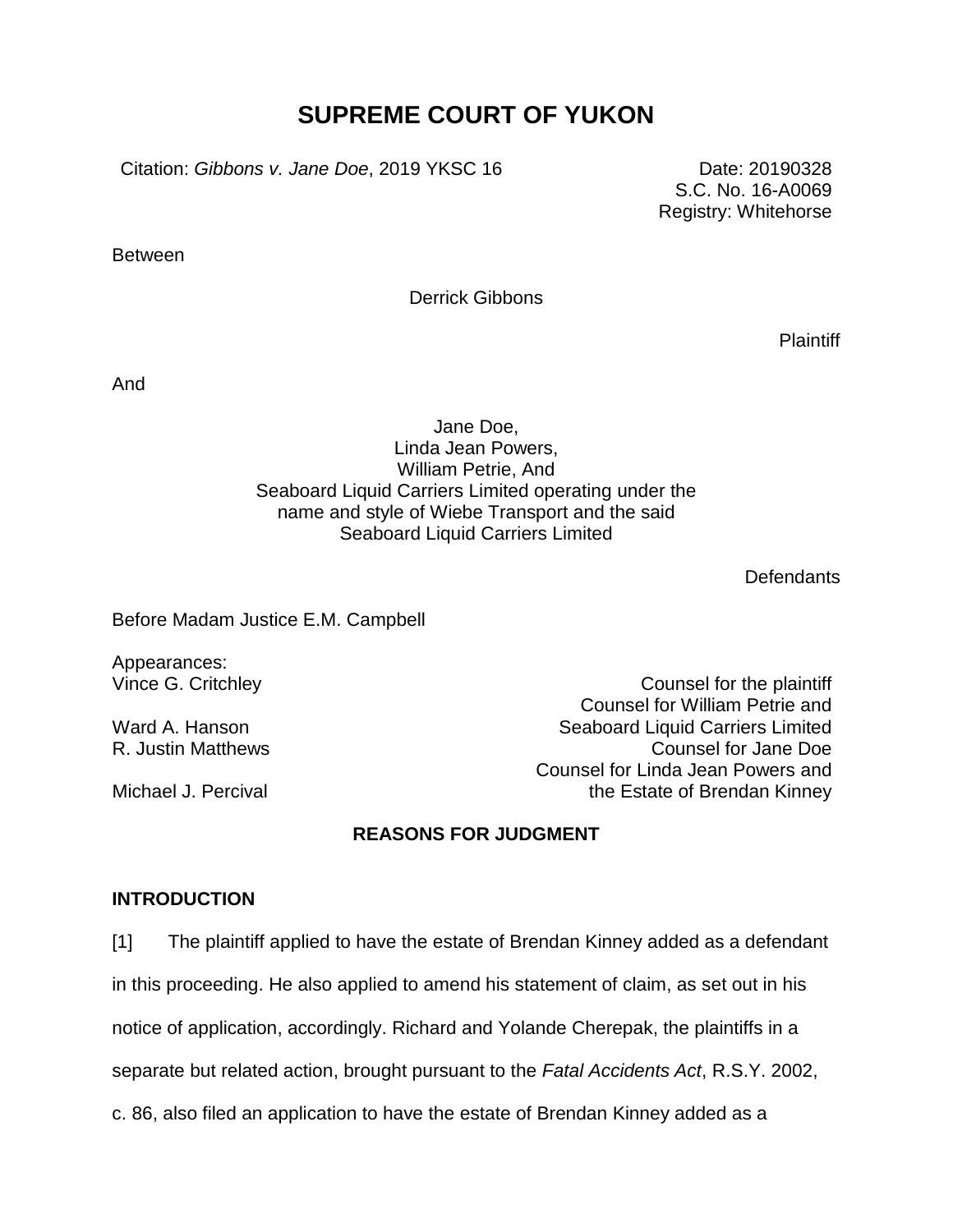# **SUPREME COURT OF YUKON**

Citation: *Gibbons v. Jane Doe*, 2019 YKSC 16 Date: 20190328

S.C. No. 16-A0069 Registry: Whitehorse

**Between** 

Derrick Gibbons

**Plaintiff** 

And

## Jane Doe, Linda Jean Powers, William Petrie, And Seaboard Liquid Carriers Limited operating under the name and style of Wiebe Transport and the said Seaboard Liquid Carriers Limited

**Defendants** 

Before Madam Justice E.M. Campbell

Appearances:

Ward A. Hanson

Michael J. Percival

Vince G. Critchley Counsel for the plaintiff Counsel for William Petrie and Seaboard Liquid Carriers Limited R. Justin Matthews **Counsel for Jane Doe** Counsel for Linda Jean Powers and the Estate of Brendan Kinney

## **REASONS FOR JUDGMENT**

#### **INTRODUCTION**

[1] The plaintiff applied to have the estate of Brendan Kinney added as a defendant in this proceeding. He also applied to amend his statement of claim, as set out in his notice of application, accordingly. Richard and Yolande Cherepak, the plaintiffs in a separate but related action, brought pursuant to the *Fatal Accidents Act*, R.S.Y. 2002, c. 86, also filed an application to have the estate of Brendan Kinney added as a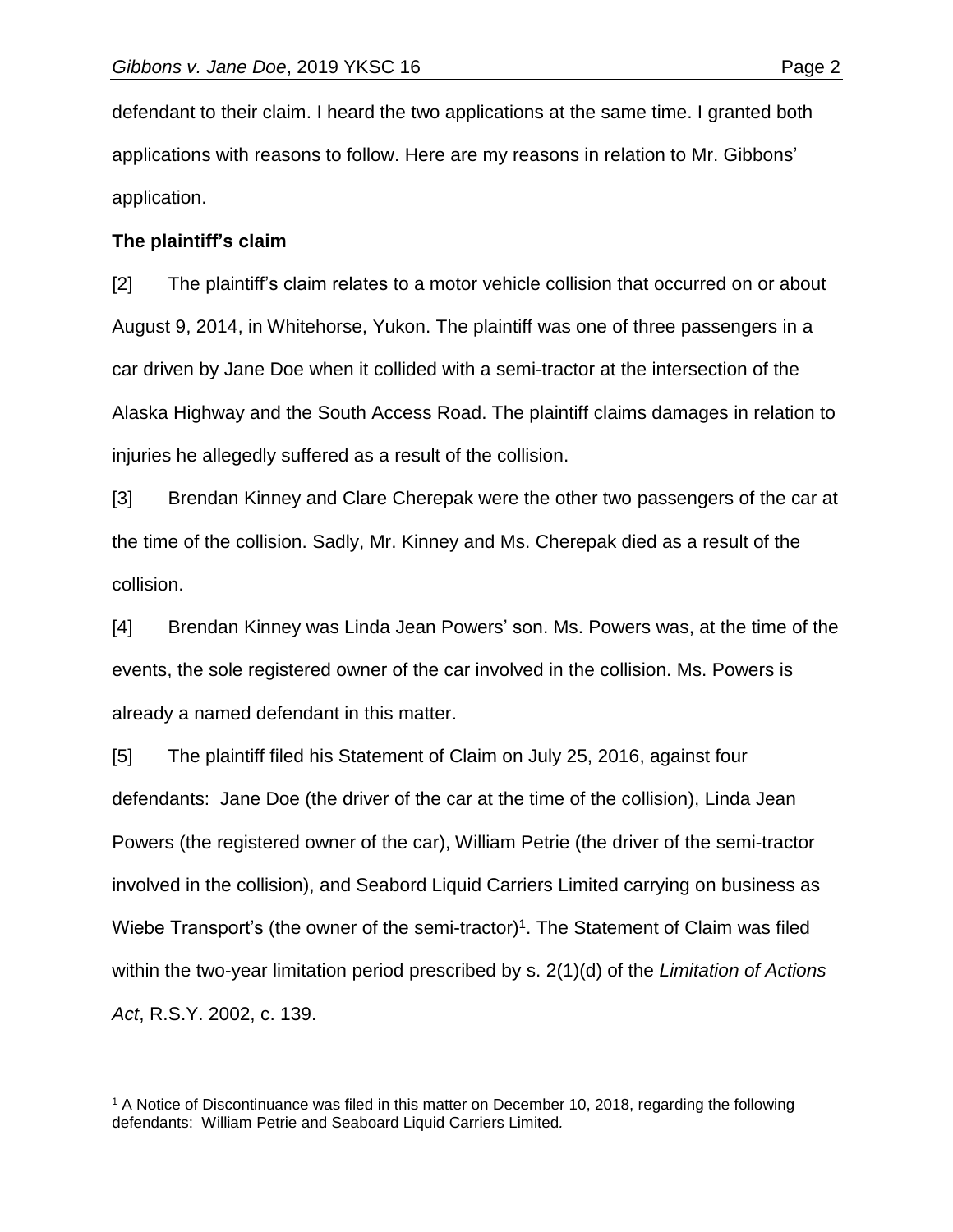defendant to their claim. I heard the two applications at the same time. I granted both applications with reasons to follow. Here are my reasons in relation to Mr. Gibbons' application.

#### **The plaintiff's claim**

[2] The plaintiff's claim relates to a motor vehicle collision that occurred on or about August 9, 2014, in Whitehorse, Yukon. The plaintiff was one of three passengers in a car driven by Jane Doe when it collided with a semi-tractor at the intersection of the Alaska Highway and the South Access Road. The plaintiff claims damages in relation to injuries he allegedly suffered as a result of the collision.

[3] Brendan Kinney and Clare Cherepak were the other two passengers of the car at the time of the collision. Sadly, Mr. Kinney and Ms. Cherepak died as a result of the collision.

[4] Brendan Kinney was Linda Jean Powers' son. Ms. Powers was, at the time of the events, the sole registered owner of the car involved in the collision. Ms. Powers is already a named defendant in this matter.

[5] The plaintiff filed his Statement of Claim on July 25, 2016, against four defendants: Jane Doe (the driver of the car at the time of the collision), Linda Jean Powers (the registered owner of the car), William Petrie (the driver of the semi-tractor involved in the collision), and Seabord Liquid Carriers Limited carrying on business as Wiebe Transport's (the owner of the semi-tractor)<sup>1</sup>. The Statement of Claim was filed within the two-year limitation period prescribed by s. 2(1)(d) of the *Limitation of Actions Act*, R.S.Y. 2002, c. 139.

 $\overline{a}$ <sup>1</sup> A Notice of Discontinuance was filed in this matter on December 10, 2018, regarding the following defendants: William Petrie and Seaboard Liquid Carriers Limited*.*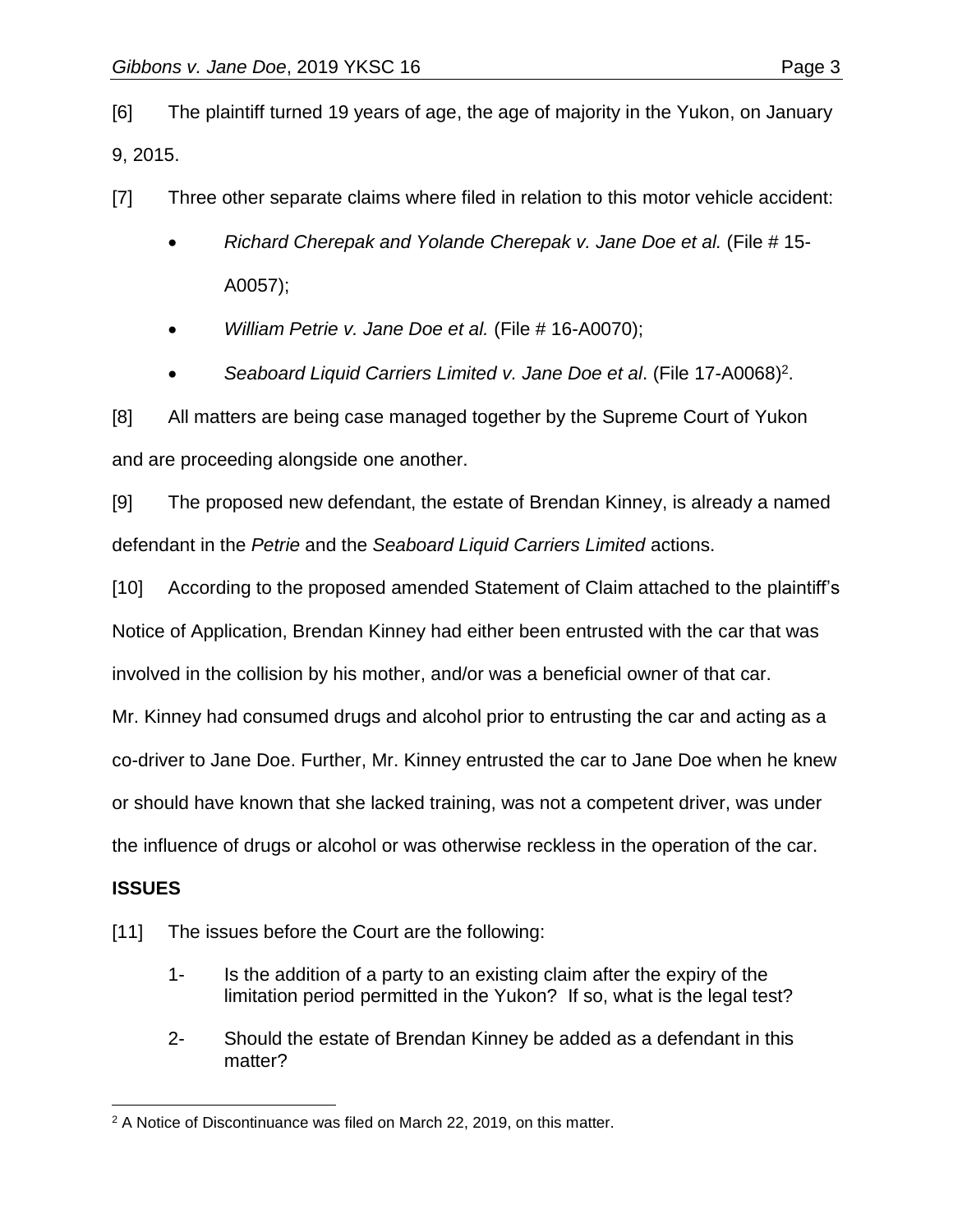[6] The plaintiff turned 19 years of age, the age of majority in the Yukon, on January 9, 2015.

[7] Three other separate claims where filed in relation to this motor vehicle accident:

- *Richard Cherepak and Yolande Cherepak v. Jane Doe et al.* (File # 15- A0057);
- *William Petrie v. Jane Doe et al.* (File # 16-A0070);
- *Seaboard Liquid Carriers Limited v. Jane Doe et al*. (File 17-A0068) 2 .

[8] All matters are being case managed together by the Supreme Court of Yukon and are proceeding alongside one another.

[9] The proposed new defendant, the estate of Brendan Kinney, is already a named defendant in the *Petrie* and the *Seaboard Liquid Carriers Limited* actions.

[10] According to the proposed amended Statement of Claim attached to the plaintiff's Notice of Application, Brendan Kinney had either been entrusted with the car that was involved in the collision by his mother, and/or was a beneficial owner of that car.

Mr. Kinney had consumed drugs and alcohol prior to entrusting the car and acting as a

co-driver to Jane Doe. Further, Mr. Kinney entrusted the car to Jane Doe when he knew

or should have known that she lacked training, was not a competent driver, was under

the influence of drugs or alcohol or was otherwise reckless in the operation of the car.

# **ISSUES**

- [11] The issues before the Court are the following:
	- 1- Is the addition of a party to an existing claim after the expiry of the limitation period permitted in the Yukon? If so, what is the legal test?
	- 2- Should the estate of Brendan Kinney be added as a defendant in this matter?

 $\overline{a}$ <sup>2</sup> A Notice of Discontinuance was filed on March 22, 2019, on this matter.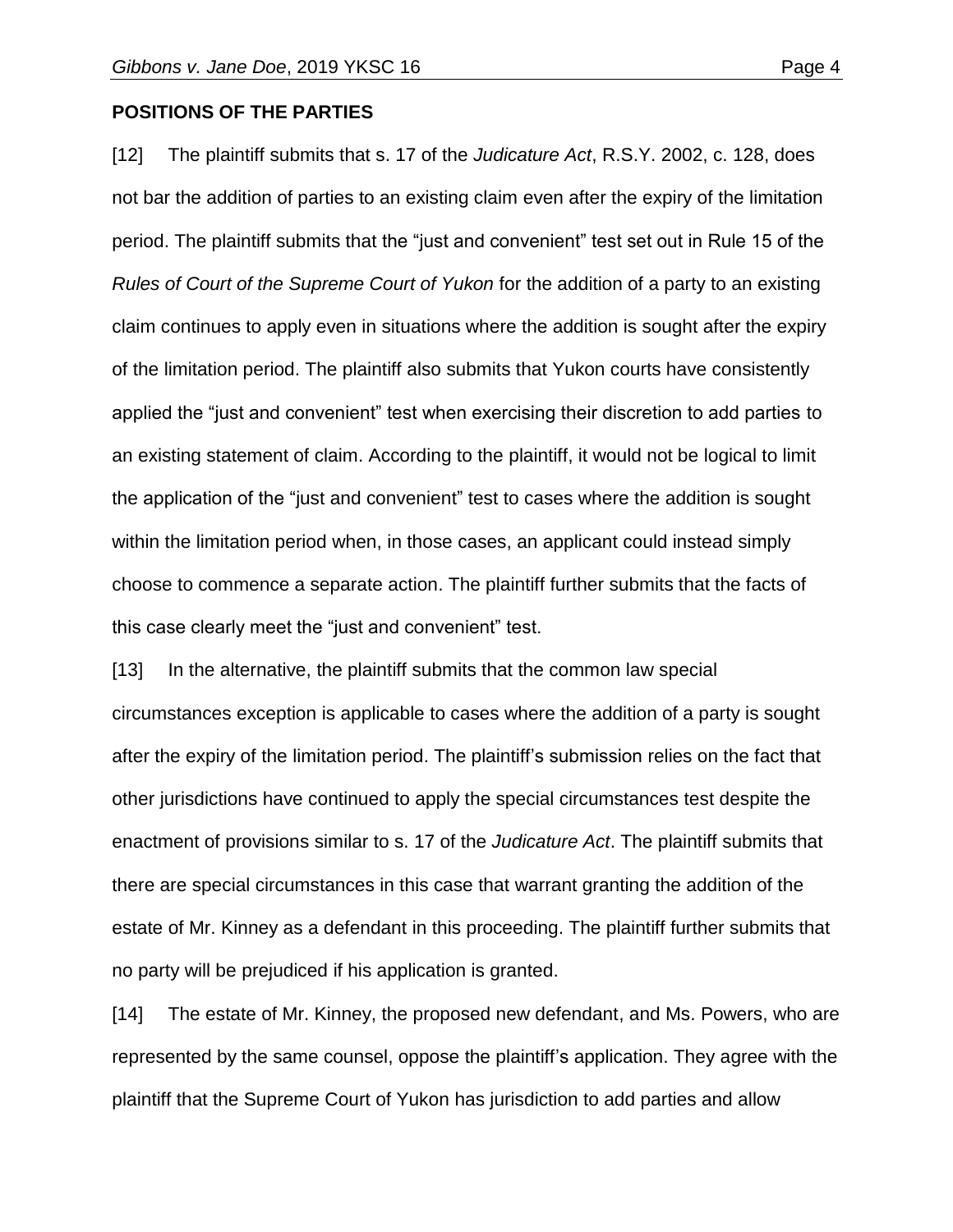#### **POSITIONS OF THE PARTIES**

[12] The plaintiff submits that s. 17 of the *Judicature Act*, R.S.Y. 2002, c. 128, does not bar the addition of parties to an existing claim even after the expiry of the limitation period. The plaintiff submits that the "just and convenient" test set out in Rule 15 of the *Rules of Court of the Supreme Court of Yukon* for the addition of a party to an existing claim continues to apply even in situations where the addition is sought after the expiry of the limitation period. The plaintiff also submits that Yukon courts have consistently applied the "just and convenient" test when exercising their discretion to add parties to an existing statement of claim. According to the plaintiff, it would not be logical to limit the application of the "just and convenient" test to cases where the addition is sought within the limitation period when, in those cases, an applicant could instead simply choose to commence a separate action. The plaintiff further submits that the facts of this case clearly meet the "just and convenient" test.

[13] In the alternative, the plaintiff submits that the common law special circumstances exception is applicable to cases where the addition of a party is sought after the expiry of the limitation period. The plaintiff's submission relies on the fact that other jurisdictions have continued to apply the special circumstances test despite the enactment of provisions similar to s. 17 of the *Judicature Act*. The plaintiff submits that there are special circumstances in this case that warrant granting the addition of the estate of Mr. Kinney as a defendant in this proceeding. The plaintiff further submits that no party will be prejudiced if his application is granted.

[14] The estate of Mr. Kinney, the proposed new defendant, and Ms. Powers, who are represented by the same counsel, oppose the plaintiff's application. They agree with the plaintiff that the Supreme Court of Yukon has jurisdiction to add parties and allow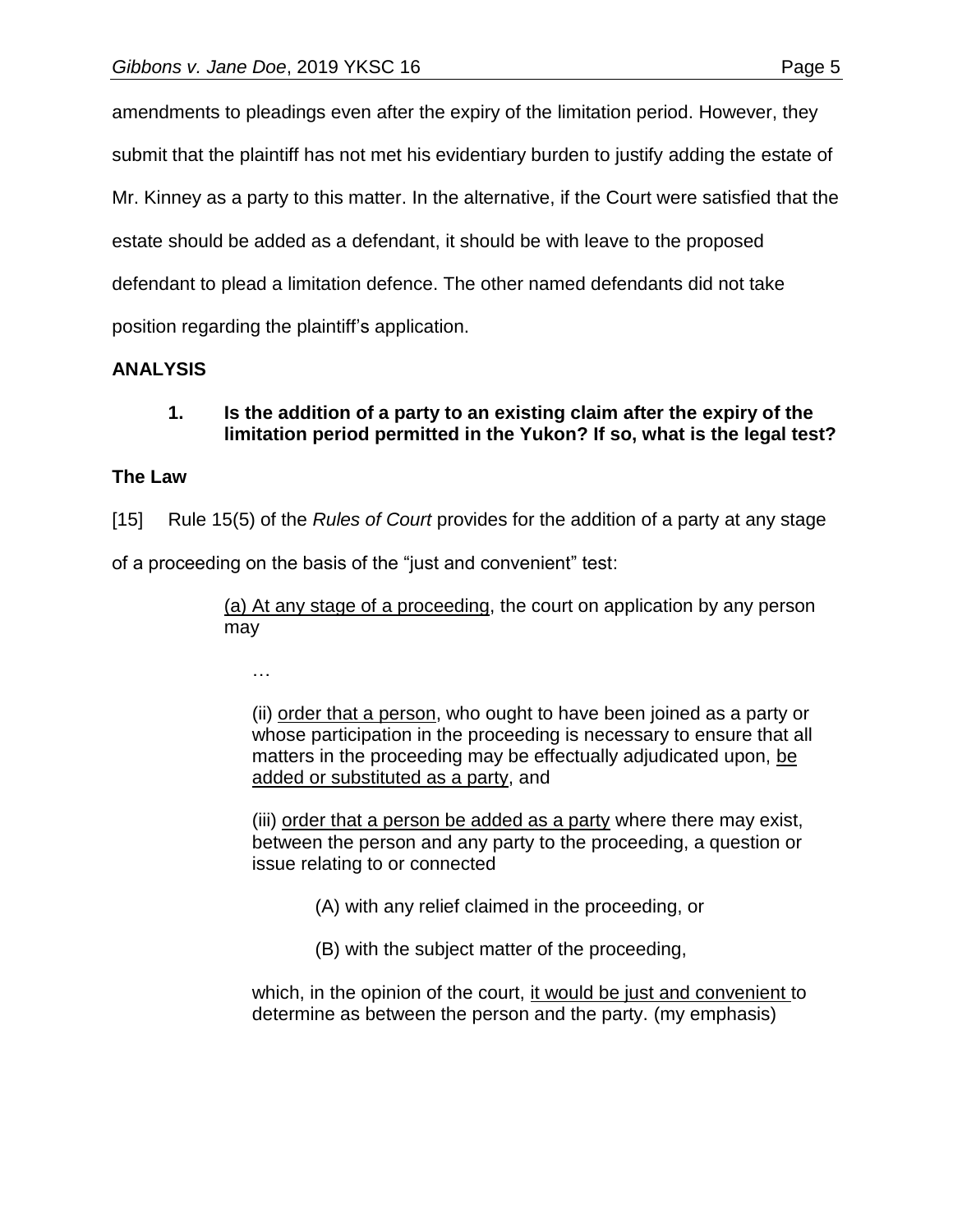amendments to pleadings even after the expiry of the limitation period. However, they submit that the plaintiff has not met his evidentiary burden to justify adding the estate of Mr. Kinney as a party to this matter. In the alternative, if the Court were satisfied that the estate should be added as a defendant, it should be with leave to the proposed defendant to plead a limitation defence. The other named defendants did not take position regarding the plaintiff's application.

# **ANALYSIS**

# **1. Is the addition of a party to an existing claim after the expiry of the limitation period permitted in the Yukon? If so, what is the legal test?**

## **The Law**

[15] Rule 15(5) of the *Rules of Court* provides for the addition of a party at any stage

of a proceeding on the basis of the "just and convenient" test:

(a) At any stage of a proceeding, the court on application by any person may

…

(ii) order that a person, who ought to have been joined as a party or whose participation in the proceeding is necessary to ensure that all matters in the proceeding may be effectually adjudicated upon, be added or substituted as a party, and

(iii) order that a person be added as a party where there may exist, between the person and any party to the proceeding, a question or issue relating to or connected

(A) with any relief claimed in the proceeding, or

(B) with the subject matter of the proceeding,

which, in the opinion of the court, it would be just and convenient to determine as between the person and the party. (my emphasis)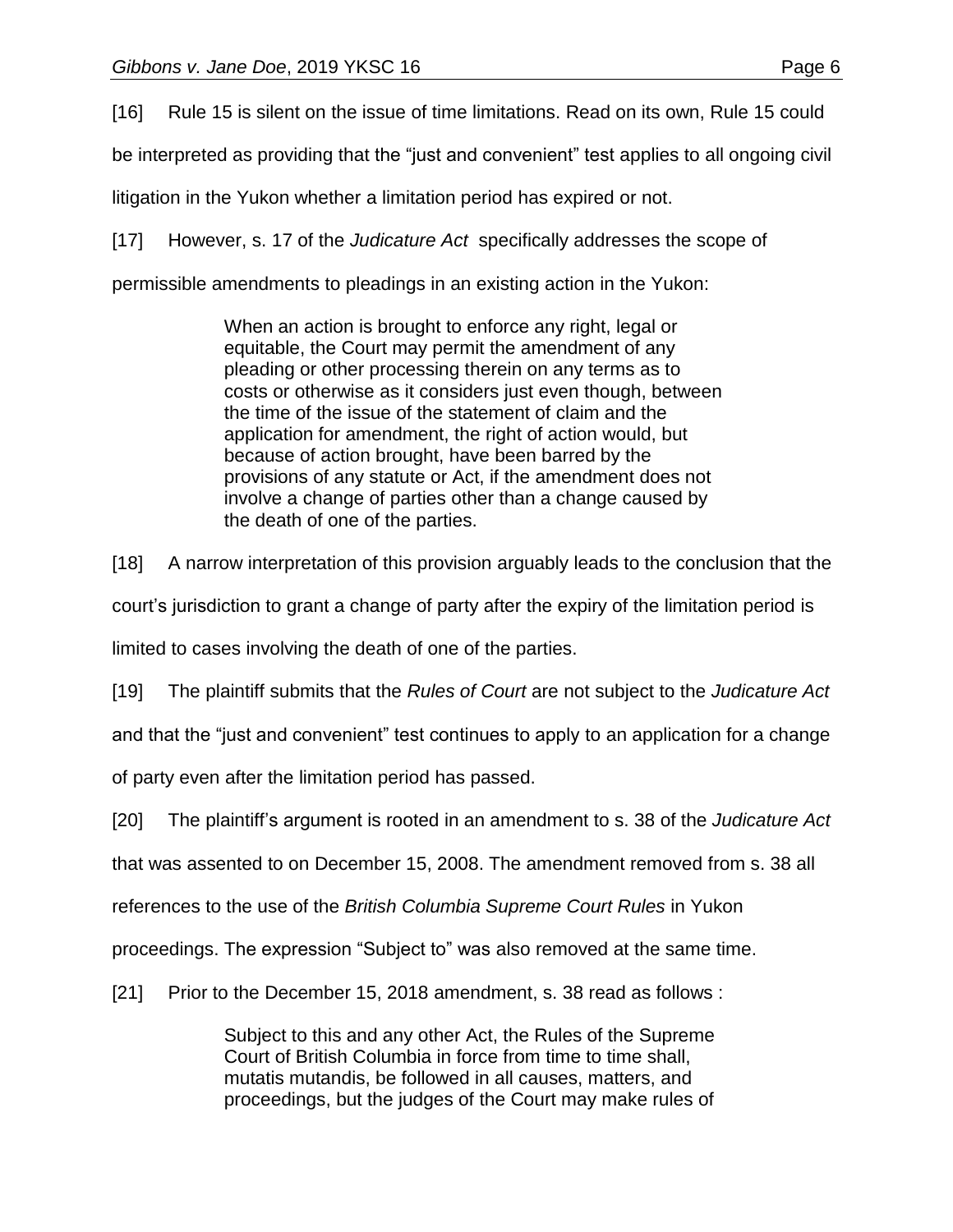[16] Rule 15 is silent on the issue of time limitations. Read on its own, Rule 15 could

be interpreted as providing that the "just and convenient" test applies to all ongoing civil

litigation in the Yukon whether a limitation period has expired or not.

[17] However, s. 17 of the *Judicature Act* specifically addresses the scope of

permissible amendments to pleadings in an existing action in the Yukon:

When an action is brought to enforce any right, legal or equitable, the Court may permit the amendment of any pleading or other processing therein on any terms as to costs or otherwise as it considers just even though, between the time of the issue of the statement of claim and the application for amendment, the right of action would, but because of action brought, have been barred by the provisions of any statute or Act, if the amendment does not involve a change of parties other than a change caused by the death of one of the parties.

[18] A narrow interpretation of this provision arguably leads to the conclusion that the

court's jurisdiction to grant a change of party after the expiry of the limitation period is

limited to cases involving the death of one of the parties.

[19] The plaintiff submits that the *Rules of Court* are not subject to the *Judicature Act*

and that the "just and convenient" test continues to apply to an application for a change

of party even after the limitation period has passed.

[20] The plaintiff's argument is rooted in an amendment to s. 38 of the *Judicature Act*

that was assented to on December 15, 2008. The amendment removed from s. 38 all

references to the use of the *British Columbia Supreme Court Rules* in Yukon

proceedings. The expression "Subject to" was also removed at the same time.

[21] Prior to the December 15, 2018 amendment, s. 38 read as follows :

Subject to this and any other Act, the Rules of the Supreme Court of British Columbia in force from time to time shall, mutatis mutandis, be followed in all causes, matters, and proceedings, but the judges of the Court may make rules of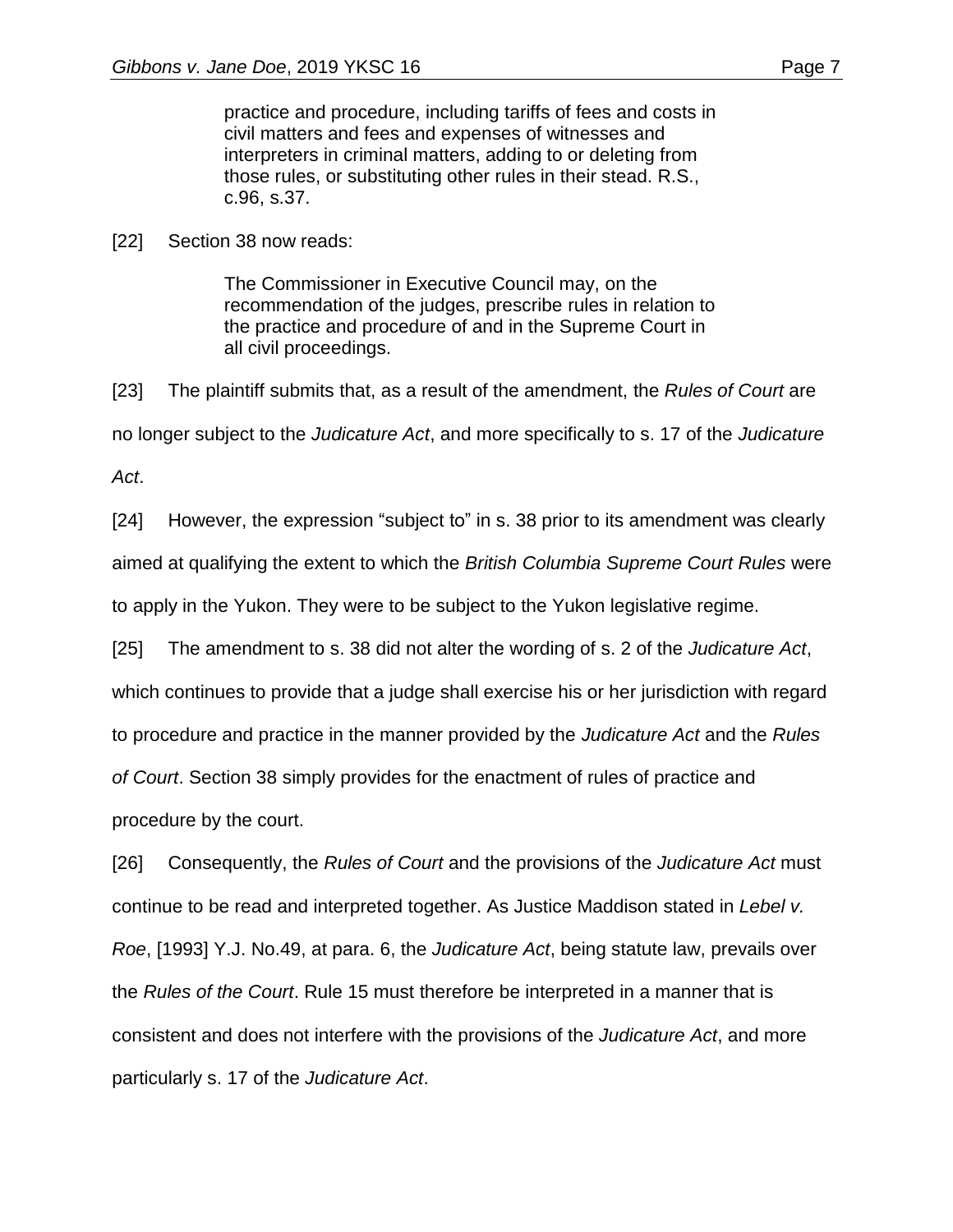practice and procedure, including tariffs of fees and costs in civil matters and fees and expenses of witnesses and interpreters in criminal matters, adding to or deleting from those rules, or substituting other rules in their stead. R.S., c.96, s.37.

[22] Section 38 now reads:

The Commissioner in Executive Council may, on the recommendation of the judges, prescribe rules in relation to the practice and procedure of and in the Supreme Court in all civil proceedings.

[23] The plaintiff submits that, as a result of the amendment, the *Rules of Court* are no longer subject to the *Judicature Act*, and more specifically to s. 17 of the *Judicature Act*.

[24] However, the expression "subject to" in s. 38 prior to its amendment was clearly aimed at qualifying the extent to which the *British Columbia Supreme Court Rules* were to apply in the Yukon. They were to be subject to the Yukon legislative regime.

[25] The amendment to s. 38 did not alter the wording of s. 2 of the *Judicature Act*, which continues to provide that a judge shall exercise his or her jurisdiction with regard to procedure and practice in the manner provided by the *Judicature Act* and the *Rules of Court*. Section 38 simply provides for the enactment of rules of practice and procedure by the court.

[26] Consequently, the *Rules of Court* and the provisions of the *Judicature Act* must continue to be read and interpreted together. As Justice Maddison stated in *Lebel v. Roe*, [1993] Y.J. No.49, at para. 6, the *Judicature Act*, being statute law, prevails over the *Rules of the Court*. Rule 15 must therefore be interpreted in a manner that is consistent and does not interfere with the provisions of the *Judicature Act*, and more particularly s. 17 of the *Judicature Act*.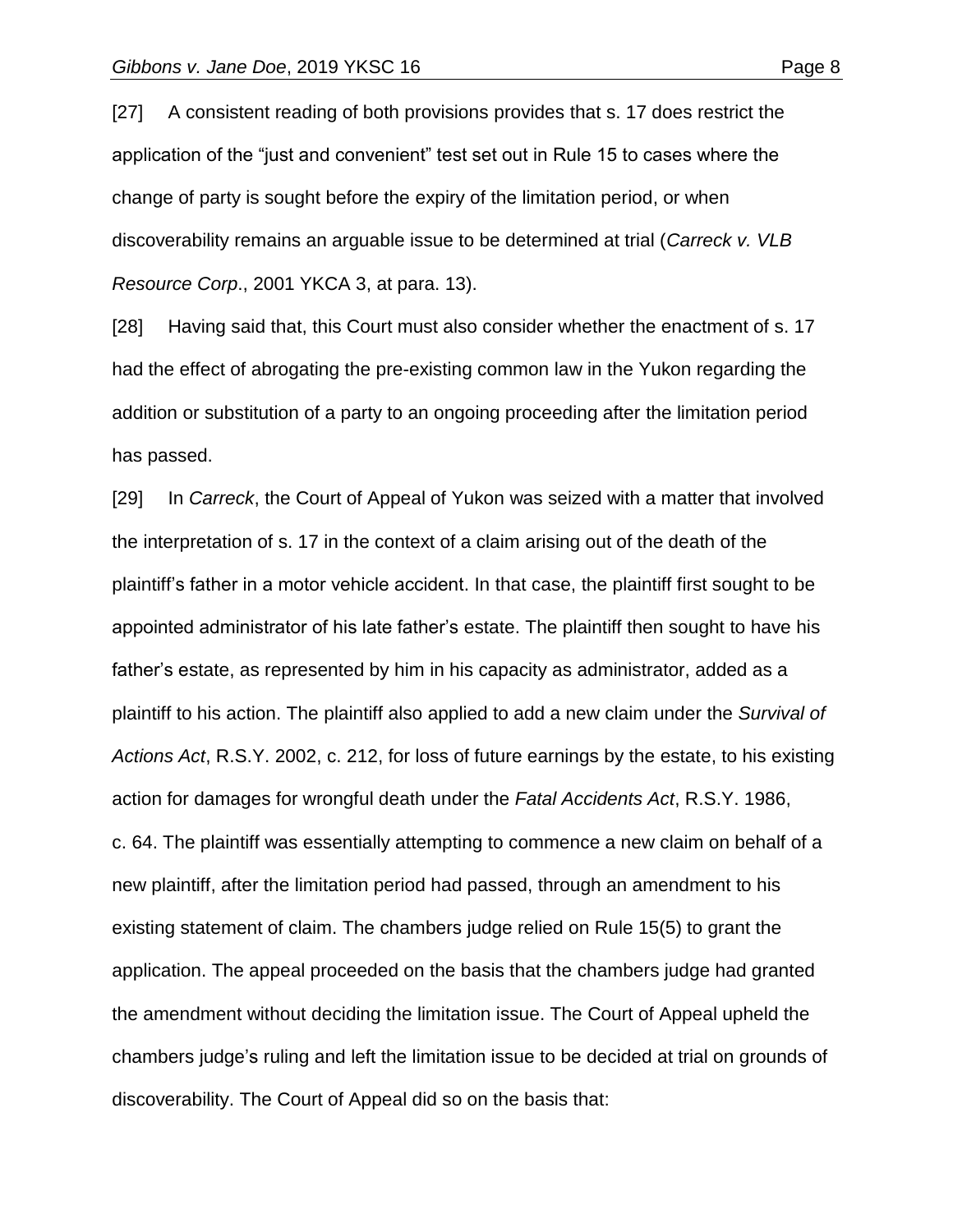[27] A consistent reading of both provisions provides that s. 17 does restrict the application of the "just and convenient" test set out in Rule 15 to cases where the change of party is sought before the expiry of the limitation period, or when discoverability remains an arguable issue to be determined at trial (*Carreck v. VLB Resource Corp*., 2001 YKCA 3, at para. 13).

[28] Having said that, this Court must also consider whether the enactment of s. 17 had the effect of abrogating the pre-existing common law in the Yukon regarding the addition or substitution of a party to an ongoing proceeding after the limitation period has passed.

[29] In *Carreck*, the Court of Appeal of Yukon was seized with a matter that involved the interpretation of s. 17 in the context of a claim arising out of the death of the plaintiff's father in a motor vehicle accident. In that case, the plaintiff first sought to be appointed administrator of his late father's estate. The plaintiff then sought to have his father's estate, as represented by him in his capacity as administrator, added as a plaintiff to his action. The plaintiff also applied to add a new claim under the *Survival of Actions Act*, R.S.Y. 2002, c. 212, for loss of future earnings by the estate, to his existing action for damages for wrongful death under the *Fatal Accidents Act*, R.S.Y. 1986, c. 64. The plaintiff was essentially attempting to commence a new claim on behalf of a new plaintiff, after the limitation period had passed, through an amendment to his existing statement of claim. The chambers judge relied on Rule 15(5) to grant the application. The appeal proceeded on the basis that the chambers judge had granted the amendment without deciding the limitation issue. The Court of Appeal upheld the chambers judge's ruling and left the limitation issue to be decided at trial on grounds of discoverability. The Court of Appeal did so on the basis that: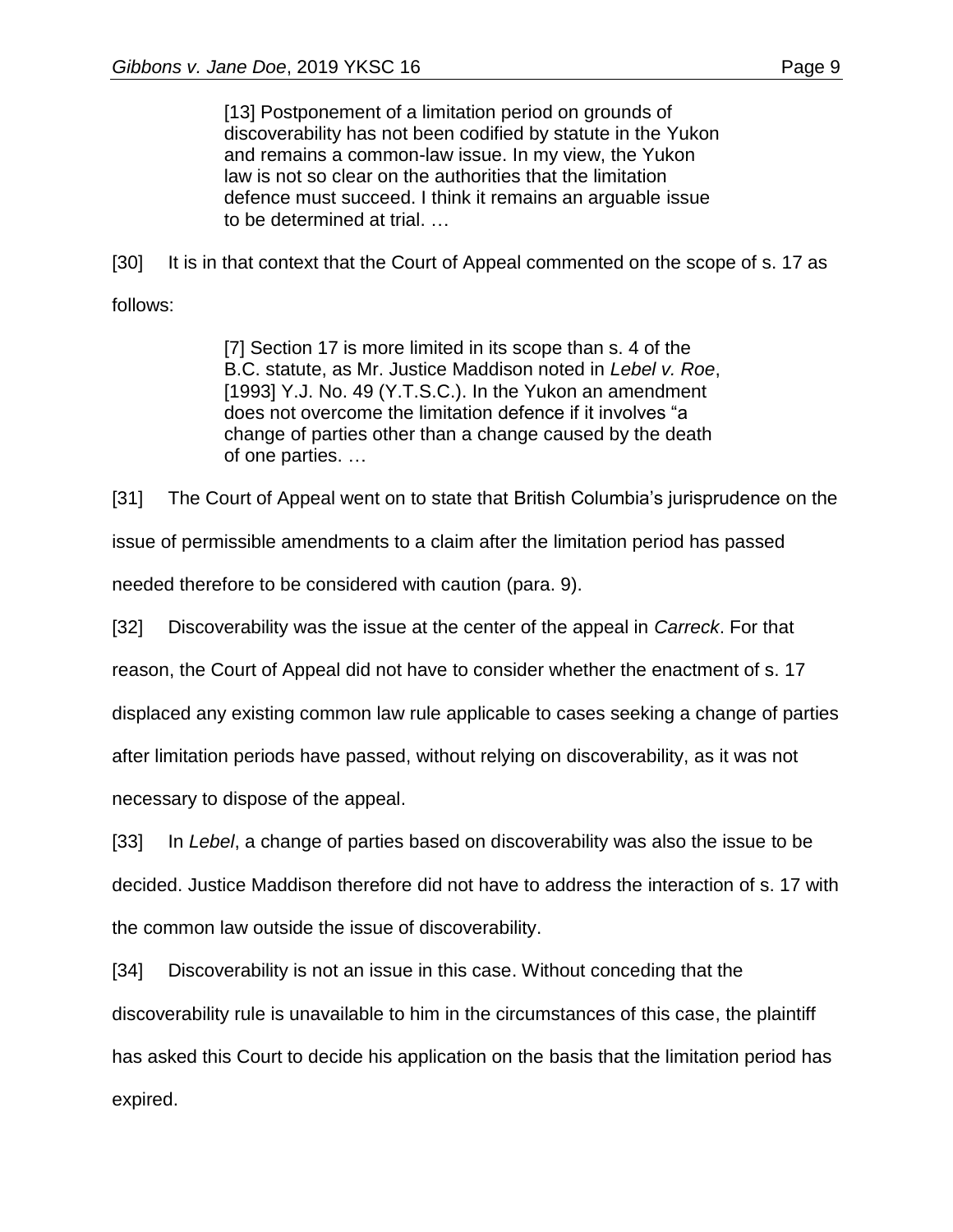[13] Postponement of a limitation period on grounds of discoverability has not been codified by statute in the Yukon and remains a common-law issue. In my view, the Yukon law is not so clear on the authorities that the limitation defence must succeed. I think it remains an arguable issue to be determined at trial. …

[30] It is in that context that the Court of Appeal commented on the scope of s. 17 as follows:

> [7] Section 17 is more limited in its scope than s. 4 of the B.C. statute, as Mr. Justice Maddison noted in *Lebel v. Roe*, [1993] Y.J. No. 49 (Y.T.S.C.). In the Yukon an amendment does not overcome the limitation defence if it involves "a change of parties other than a change caused by the death of one parties. …

[31] The Court of Appeal went on to state that British Columbia's jurisprudence on the

issue of permissible amendments to a claim after the limitation period has passed

needed therefore to be considered with caution (para. 9).

[32] Discoverability was the issue at the center of the appeal in *Carreck*. For that

reason, the Court of Appeal did not have to consider whether the enactment of s. 17

displaced any existing common law rule applicable to cases seeking a change of parties

after limitation periods have passed, without relying on discoverability, as it was not

necessary to dispose of the appeal.

[33] In *Lebel*, a change of parties based on discoverability was also the issue to be decided. Justice Maddison therefore did not have to address the interaction of s. 17 with the common law outside the issue of discoverability.

[34] Discoverability is not an issue in this case. Without conceding that the discoverability rule is unavailable to him in the circumstances of this case, the plaintiff has asked this Court to decide his application on the basis that the limitation period has expired.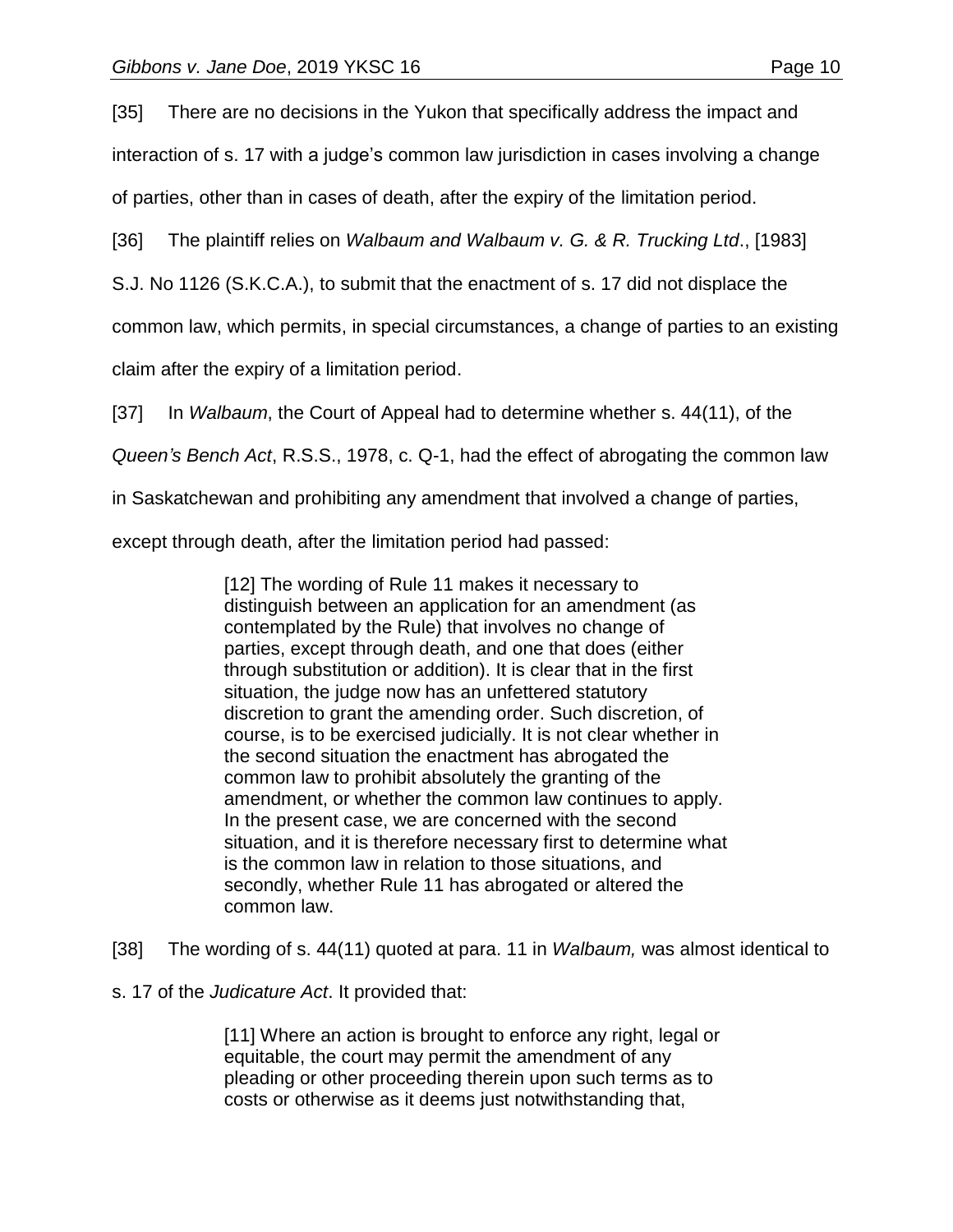[35] There are no decisions in the Yukon that specifically address the impact and

interaction of s. 17 with a judge's common law jurisdiction in cases involving a change

of parties, other than in cases of death, after the expiry of the limitation period.

[36] The plaintiff relies on *Walbaum and Walbaum v. G. & R. Trucking Ltd*., [1983]

S.J. No 1126 (S.K.C.A.), to submit that the enactment of s. 17 did not displace the

common law, which permits, in special circumstances, a change of parties to an existing

claim after the expiry of a limitation period.

[37] In *Walbaum*, the Court of Appeal had to determine whether s. 44(11), of the

*Queen's Bench Act*, R.S.S., 1978, c. Q-1, had the effect of abrogating the common law

in Saskatchewan and prohibiting any amendment that involved a change of parties,

except through death, after the limitation period had passed:

[12] The wording of Rule 11 makes it necessary to distinguish between an application for an amendment (as contemplated by the Rule) that involves no change of parties, except through death, and one that does (either through substitution or addition). It is clear that in the first situation, the judge now has an unfettered statutory discretion to grant the amending order. Such discretion, of course, is to be exercised judicially. It is not clear whether in the second situation the enactment has abrogated the common law to prohibit absolutely the granting of the amendment, or whether the common law continues to apply. In the present case, we are concerned with the second situation, and it is therefore necessary first to determine what is the common law in relation to those situations, and secondly, whether Rule 11 has abrogated or altered the common law.

[38] The wording of s. 44(11) quoted at para. 11 in *Walbaum,* was almost identical to

s. 17 of the *Judicature Act*. It provided that:

[11] Where an action is brought to enforce any right, legal or equitable, the court may permit the amendment of any pleading or other proceeding therein upon such terms as to costs or otherwise as it deems just notwithstanding that,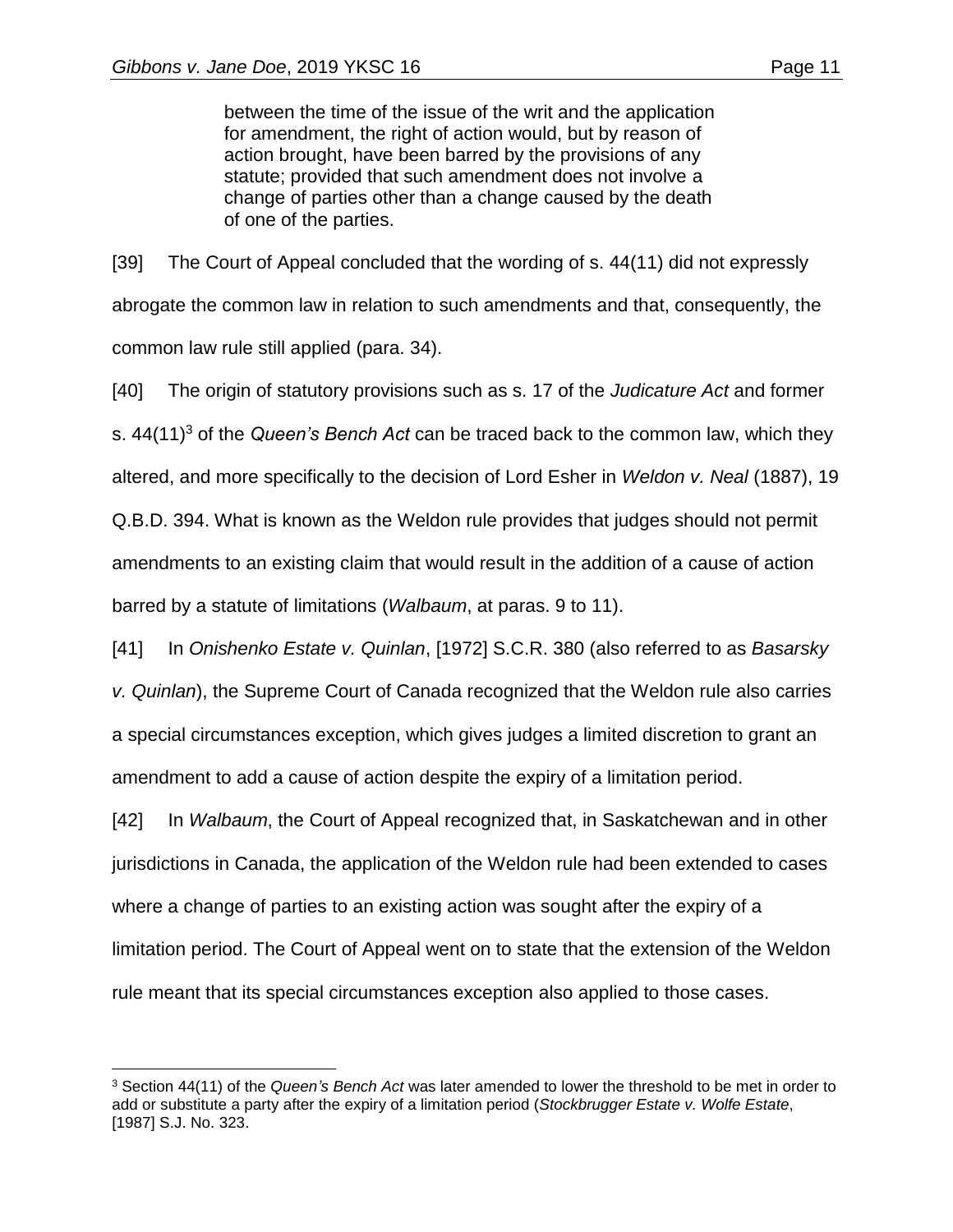$\overline{a}$ 

between the time of the issue of the writ and the application for amendment, the right of action would, but by reason of action brought, have been barred by the provisions of any statute; provided that such amendment does not involve a change of parties other than a change caused by the death of one of the parties.

[39] The Court of Appeal concluded that the wording of s. 44(11) did not expressly abrogate the common law in relation to such amendments and that, consequently, the common law rule still applied (para. 34).

[40] The origin of statutory provisions such as s. 17 of the *Judicature Act* and former s. 44(11)<sup>3</sup> of the *Queen's Bench Act* can be traced back to the common law, which they altered, and more specifically to the decision of Lord Esher in *Weldon v. Neal* (1887), 19 Q.B.D. 394. What is known as the Weldon rule provides that judges should not permit amendments to an existing claim that would result in the addition of a cause of action barred by a statute of limitations (*Walbaum*, at paras. 9 to 11).

[41] In *Onishenko Estate v. Quinlan*, [1972] S.C.R. 380 (also referred to as *Basarsky v. Quinlan*), the Supreme Court of Canada recognized that the Weldon rule also carries a special circumstances exception, which gives judges a limited discretion to grant an amendment to add a cause of action despite the expiry of a limitation period.

[42] In *Walbaum*, the Court of Appeal recognized that, in Saskatchewan and in other jurisdictions in Canada, the application of the Weldon rule had been extended to cases where a change of parties to an existing action was sought after the expiry of a limitation period. The Court of Appeal went on to state that the extension of the Weldon rule meant that its special circumstances exception also applied to those cases.

<sup>3</sup> Section 44(11) of the *Queen's Bench Act* was later amended to lower the threshold to be met in order to add or substitute a party after the expiry of a limitation period (*Stockbrugger Estate v. Wolfe Estate*, [1987] S.J. No. 323.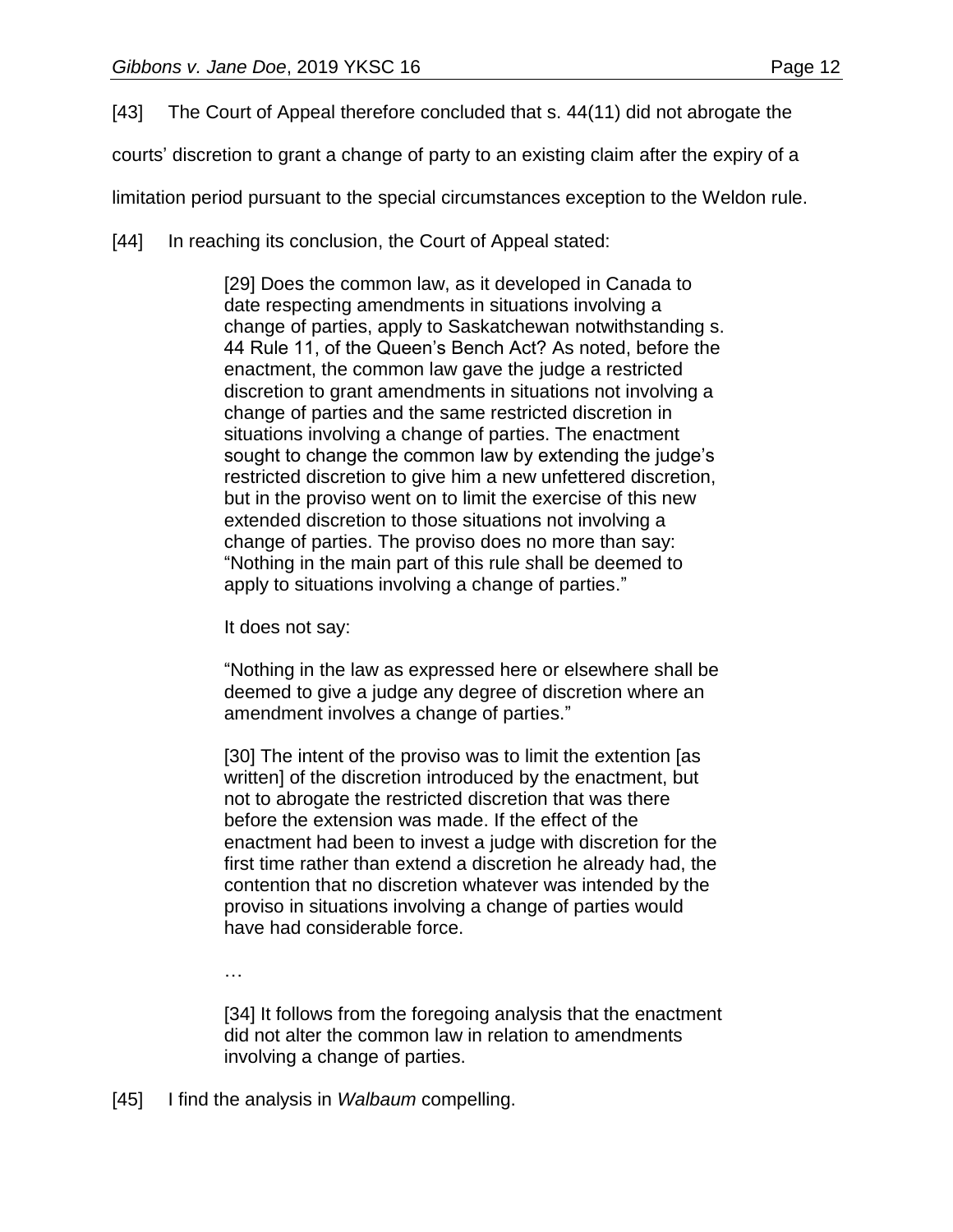[43] The Court of Appeal therefore concluded that s. 44(11) did not abrogate the

courts' discretion to grant a change of party to an existing claim after the expiry of a

limitation period pursuant to the special circumstances exception to the Weldon rule.

[44] In reaching its conclusion, the Court of Appeal stated:

[29] Does the common law, as it developed in Canada to date respecting amendments in situations involving a change of parties, apply to Saskatchewan notwithstanding s. 44 Rule 11, of the Queen's Bench Act? As noted, before the enactment, the common law gave the judge a restricted discretion to grant amendments in situations not involving a change of parties and the same restricted discretion in situations involving a change of parties. The enactment sought to change the common law by extending the judge's restricted discretion to give him a new unfettered discretion, but in the proviso went on to limit the exercise of this new extended discretion to those situations not involving a change of parties. The proviso does no more than say: "Nothing in the main part of this rule *s*hall be deemed to apply to situations involving a change of parties."

It does not say:

"Nothing in the law as expressed here or elsewhere shall be deemed to give a judge any degree of discretion where an amendment involves a change of parties."

[30] The intent of the proviso was to limit the extention [as written] of the discretion introduced by the enactment, but not to abrogate the restricted discretion that was there before the extension was made. If the effect of the enactment had been to invest a judge with discretion for the first time rather than extend a discretion he already had, the contention that no discretion whatever was intended by the proviso in situations involving a change of parties would have had considerable force.

…

[34] It follows from the foregoing analysis that the enactment did not alter the common law in relation to amendments involving a change of parties.

[45] I find the analysis in *Walbaum* compelling.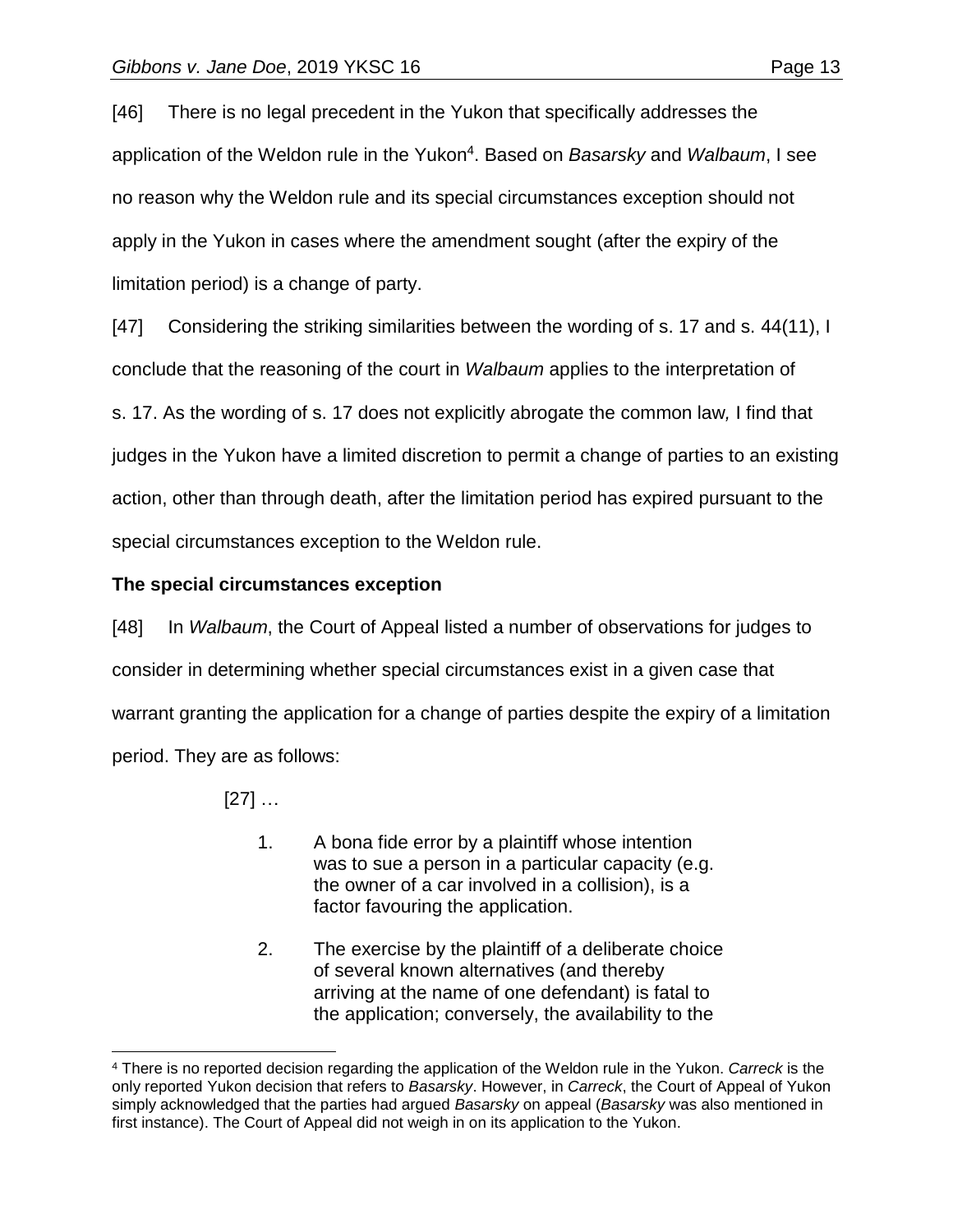[46] There is no legal precedent in the Yukon that specifically addresses the application of the Weldon rule in the Yukon<sup>4</sup> . Based on *Basarsky* and *Walbaum*, I see no reason why the Weldon rule and its special circumstances exception should not apply in the Yukon in cases where the amendment sought (after the expiry of the limitation period) is a change of party.

[47] Considering the striking similarities between the wording of s. 17 and s. 44(11), I conclude that the reasoning of the court in *Walbaum* applies to the interpretation of s. 17. As the wording of s. 17 does not explicitly abrogate the common law*,* I find that judges in the Yukon have a limited discretion to permit a change of parties to an existing action, other than through death, after the limitation period has expired pursuant to the special circumstances exception to the Weldon rule.

# **The special circumstances exception**

[48] In *Walbaum*, the Court of Appeal listed a number of observations for judges to consider in determining whether special circumstances exist in a given case that warrant granting the application for a change of parties despite the expiry of a limitation period. They are as follows:

[27] …

 $\overline{a}$ 

- 1. A bona fide error by a plaintiff whose intention was to sue a person in a particular capacity (e.g. the owner of a car involved in a collision), is a factor favouring the application.
- 2. The exercise by the plaintiff of a deliberate choice of several known alternatives (and thereby arriving at the name of one defendant) is fatal to the application; conversely, the availability to the

<sup>4</sup> There is no reported decision regarding the application of the Weldon rule in the Yukon. *Carreck* is the only reported Yukon decision that refers to *Basarsky*. However, in *Carreck*, the Court of Appeal of Yukon simply acknowledged that the parties had argued *Basarsky* on appeal (*Basarsky* was also mentioned in first instance). The Court of Appeal did not weigh in on its application to the Yukon.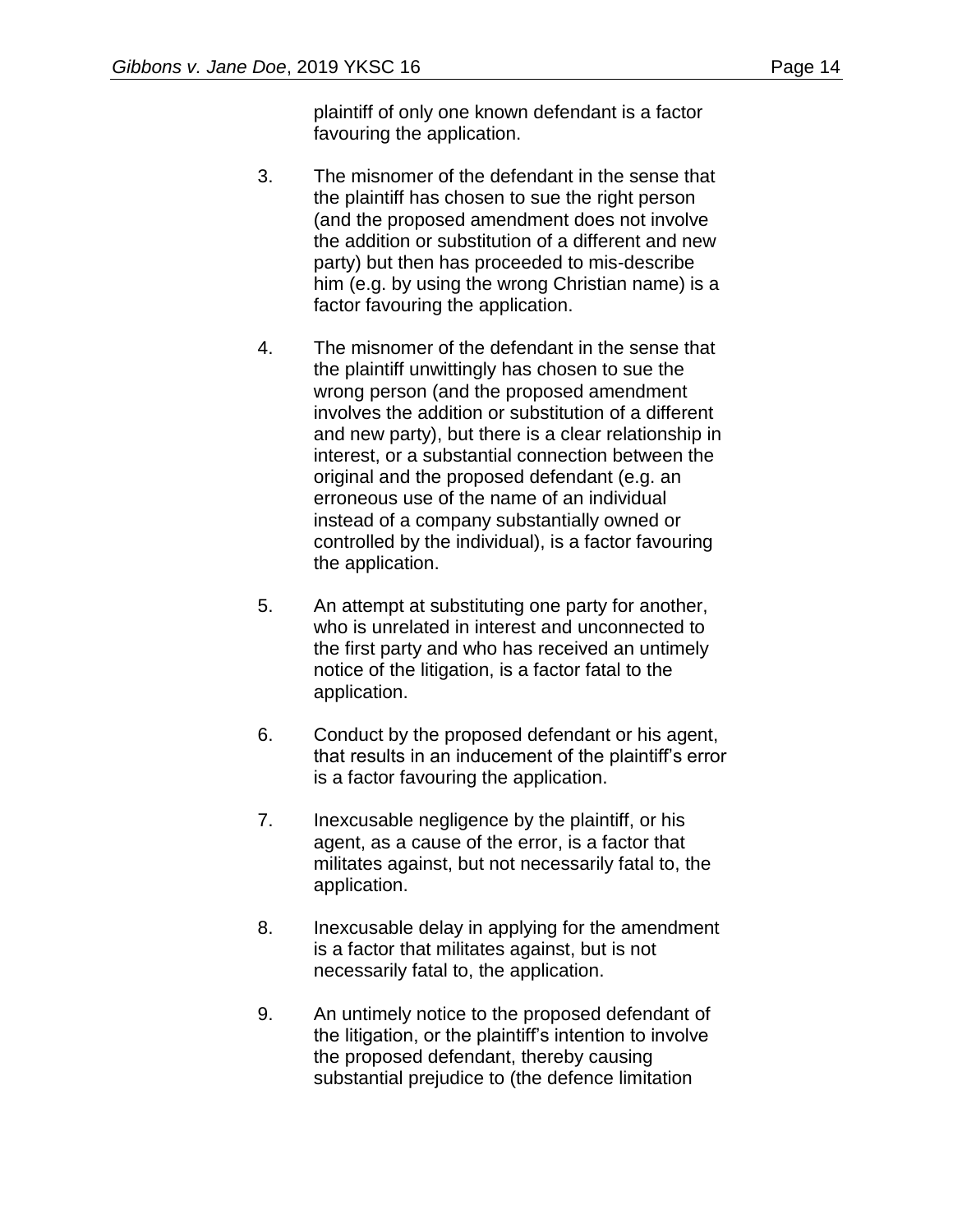plaintiff of only one known defendant is a factor favouring the application.

- 3. The misnomer of the defendant in the sense that the plaintiff has chosen to sue the right person (and the proposed amendment does not involve the addition or substitution of a different and new party) but then has proceeded to mis-describe him (e.g. by using the wrong Christian name) is a factor favouring the application.
- 4. The misnomer of the defendant in the sense that the plaintiff unwittingly has chosen to sue the wrong person (and the proposed amendment involves the addition or substitution of a different and new party), but there is a clear relationship in interest, or a substantial connection between the original and the proposed defendant (e.g. an erroneous use of the name of an individual instead of a company substantially owned or controlled by the individual), is a factor favouring the application.
- 5. An attempt at substituting one party for another, who is unrelated in interest and unconnected to the first party and who has received an untimely notice of the litigation, is a factor fatal to the application.
- 6. Conduct by the proposed defendant or his agent, that results in an inducement of the plaintiff's error is a factor favouring the application.
- 7. Inexcusable negligence by the plaintiff, or his agent, as a cause of the error, is a factor that militates against, but not necessarily fatal to, the application.
- 8. Inexcusable delay in applying for the amendment is a factor that militates against, but is not necessarily fatal to, the application.
- 9. An untimely notice to the proposed defendant of the litigation, or the plaintiff's intention to involve the proposed defendant, thereby causing substantial prejudice to (the defence limitation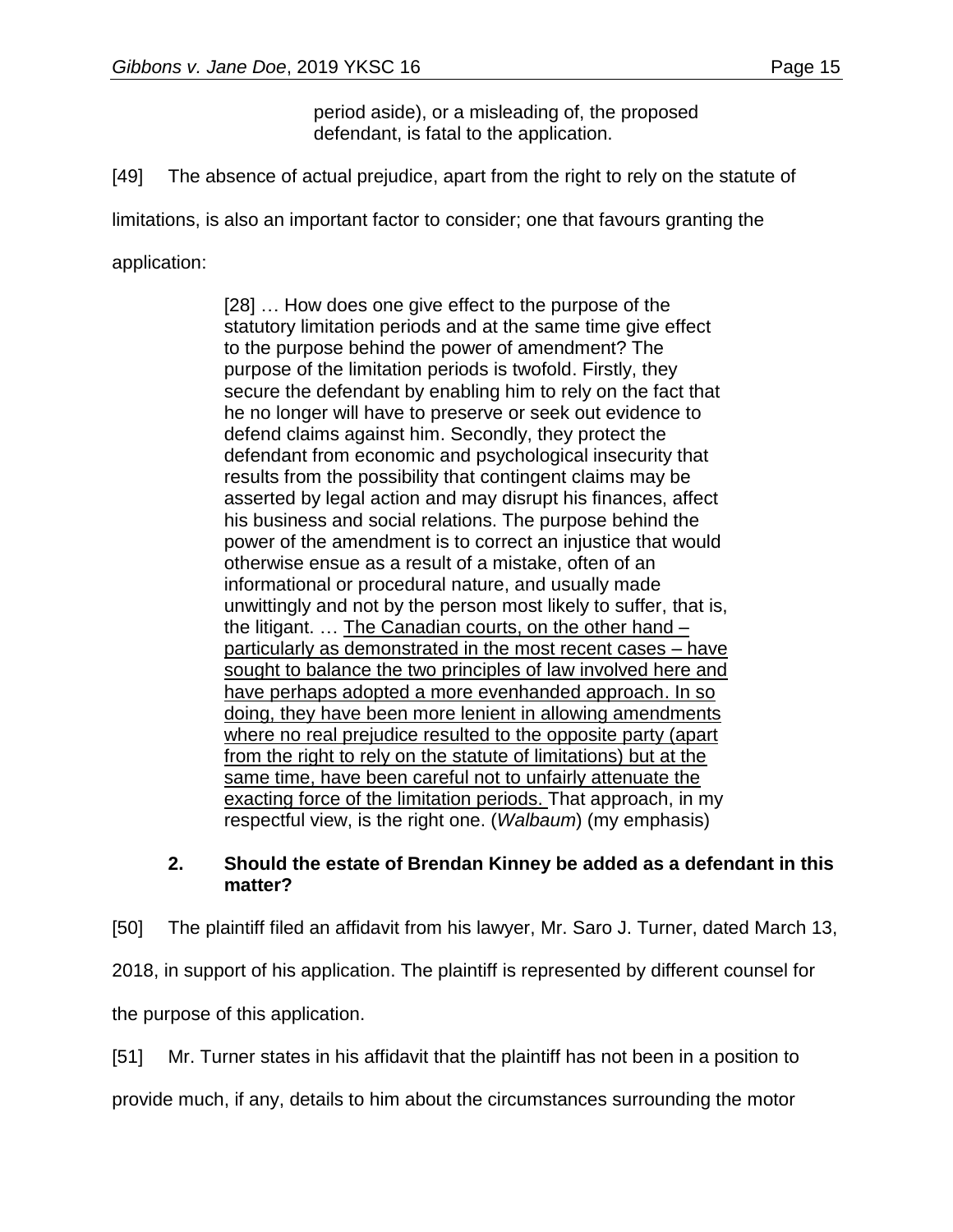period aside), or a misleading of, the proposed defendant, is fatal to the application.

[49] The absence of actual prejudice, apart from the right to rely on the statute of

limitations, is also an important factor to consider; one that favours granting the

application:

[28] … How does one give effect to the purpose of the statutory limitation periods and at the same time give effect to the purpose behind the power of amendment? The purpose of the limitation periods is twofold. Firstly, they secure the defendant by enabling him to rely on the fact that he no longer will have to preserve or seek out evidence to defend claims against him. Secondly, they protect the defendant from economic and psychological insecurity that results from the possibility that contingent claims may be asserted by legal action and may disrupt his finances, affect his business and social relations. The purpose behind the power of the amendment is to correct an injustice that would otherwise ensue as a result of a mistake, often of an informational or procedural nature, and usually made unwittingly and not by the person most likely to suffer, that is, the litigant. … The Canadian courts, on the other hand – particularly as demonstrated in the most recent cases – have sought to balance the two principles of law involved here and have perhaps adopted a more evenhanded approach. In so doing, they have been more lenient in allowing amendments where no real prejudice resulted to the opposite party (apart from the right to rely on the statute of limitations) but at the same time, have been careful not to unfairly attenuate the exacting force of the limitation periods. That approach, in my respectful view, is the right one. (*Walbaum*) (my emphasis)

## **2. Should the estate of Brendan Kinney be added as a defendant in this matter?**

[50] The plaintiff filed an affidavit from his lawyer, Mr. Saro J. Turner, dated March 13, 2018, in support of his application. The plaintiff is represented by different counsel for the purpose of this application.

[51] Mr. Turner states in his affidavit that the plaintiff has not been in a position to

provide much, if any, details to him about the circumstances surrounding the motor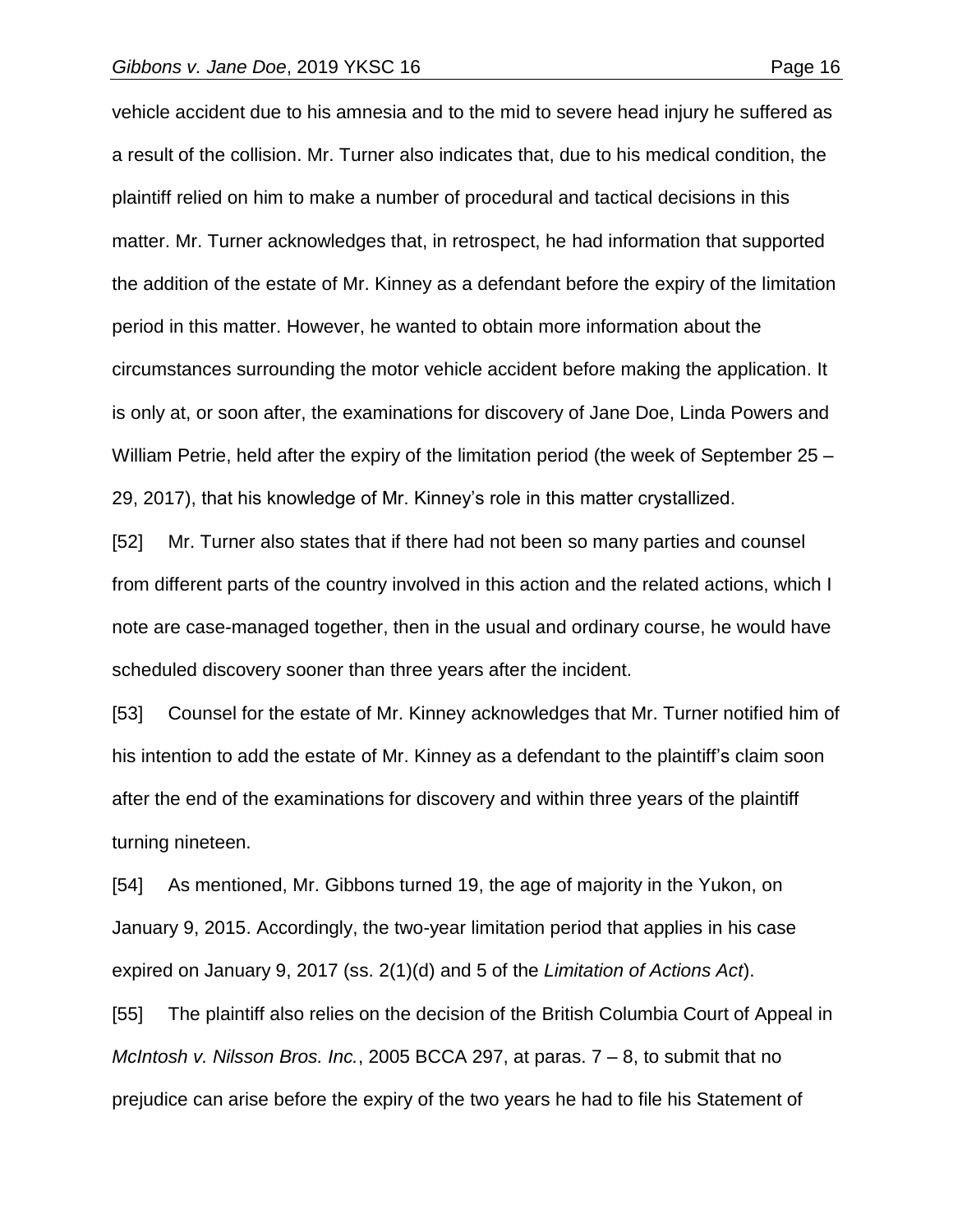vehicle accident due to his amnesia and to the mid to severe head injury he suffered as a result of the collision. Mr. Turner also indicates that, due to his medical condition, the plaintiff relied on him to make a number of procedural and tactical decisions in this matter. Mr. Turner acknowledges that, in retrospect, he had information that supported the addition of the estate of Mr. Kinney as a defendant before the expiry of the limitation period in this matter. However, he wanted to obtain more information about the circumstances surrounding the motor vehicle accident before making the application. It is only at, or soon after, the examinations for discovery of Jane Doe, Linda Powers and William Petrie, held after the expiry of the limitation period (the week of September 25 – 29, 2017), that his knowledge of Mr. Kinney's role in this matter crystallized.

[52] Mr. Turner also states that if there had not been so many parties and counsel from different parts of the country involved in this action and the related actions, which I note are case-managed together, then in the usual and ordinary course, he would have scheduled discovery sooner than three years after the incident.

[53] Counsel for the estate of Mr. Kinney acknowledges that Mr. Turner notified him of his intention to add the estate of Mr. Kinney as a defendant to the plaintiff's claim soon after the end of the examinations for discovery and within three years of the plaintiff turning nineteen.

[54] As mentioned, Mr. Gibbons turned 19, the age of majority in the Yukon, on January 9, 2015. Accordingly, the two-year limitation period that applies in his case expired on January 9, 2017 (ss. 2(1)(d) and 5 of the *Limitation of Actions Act*).

[55] The plaintiff also relies on the decision of the British Columbia Court of Appeal in *McIntosh v. Nilsson Bros. Inc.*, 2005 BCCA 297, at paras. 7 – 8, to submit that no prejudice can arise before the expiry of the two years he had to file his Statement of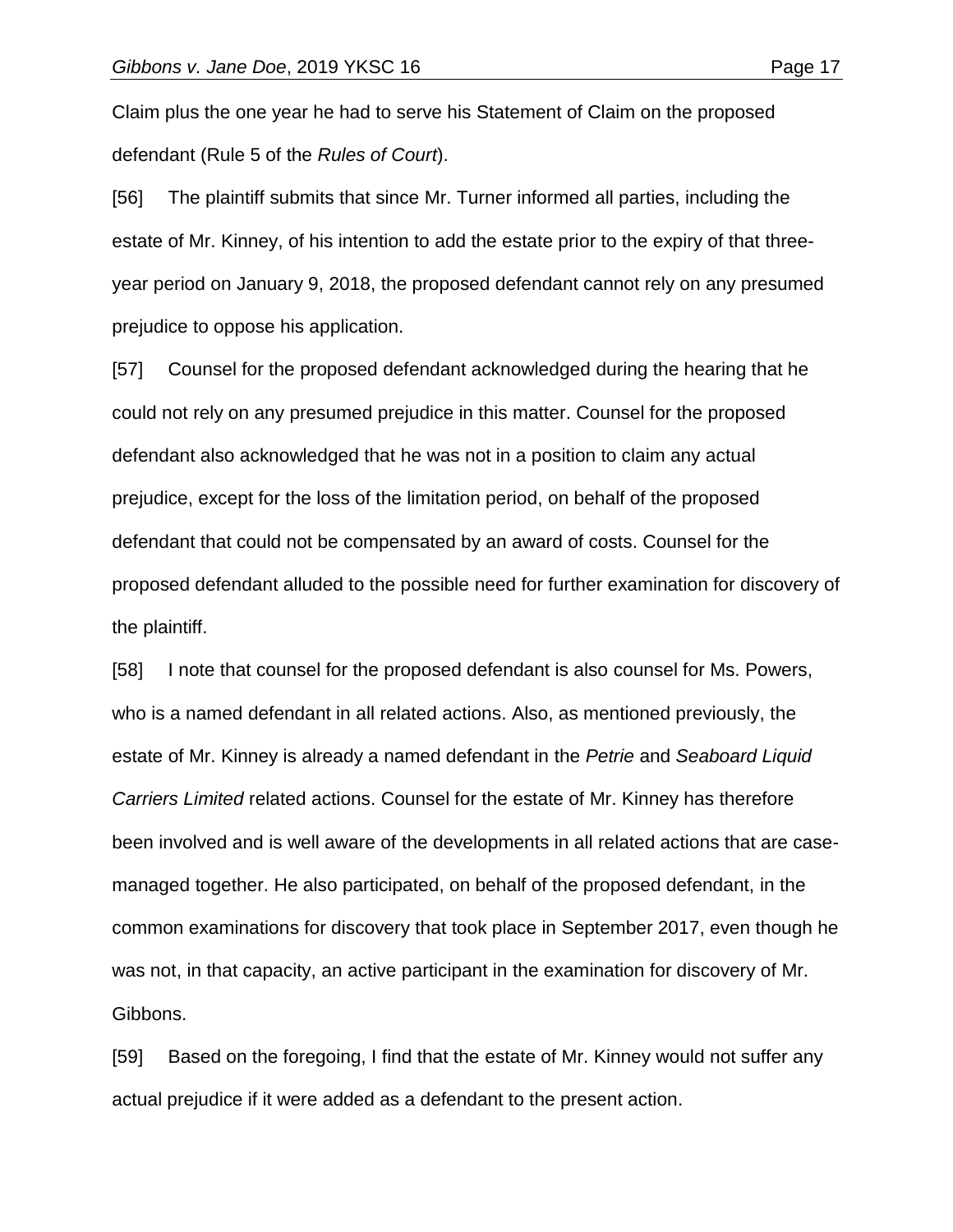Claim plus the one year he had to serve his Statement of Claim on the proposed defendant (Rule 5 of the *Rules of Court*).

[56] The plaintiff submits that since Mr. Turner informed all parties, including the estate of Mr. Kinney, of his intention to add the estate prior to the expiry of that threeyear period on January 9, 2018, the proposed defendant cannot rely on any presumed prejudice to oppose his application.

[57] Counsel for the proposed defendant acknowledged during the hearing that he could not rely on any presumed prejudice in this matter. Counsel for the proposed defendant also acknowledged that he was not in a position to claim any actual prejudice, except for the loss of the limitation period, on behalf of the proposed defendant that could not be compensated by an award of costs. Counsel for the proposed defendant alluded to the possible need for further examination for discovery of the plaintiff.

[58] I note that counsel for the proposed defendant is also counsel for Ms. Powers, who is a named defendant in all related actions. Also, as mentioned previously, the estate of Mr. Kinney is already a named defendant in the *Petrie* and *Seaboard Liquid Carriers Limited* related actions. Counsel for the estate of Mr. Kinney has therefore been involved and is well aware of the developments in all related actions that are casemanaged together. He also participated, on behalf of the proposed defendant, in the common examinations for discovery that took place in September 2017, even though he was not, in that capacity, an active participant in the examination for discovery of Mr. Gibbons.

[59] Based on the foregoing, I find that the estate of Mr. Kinney would not suffer any actual prejudice if it were added as a defendant to the present action.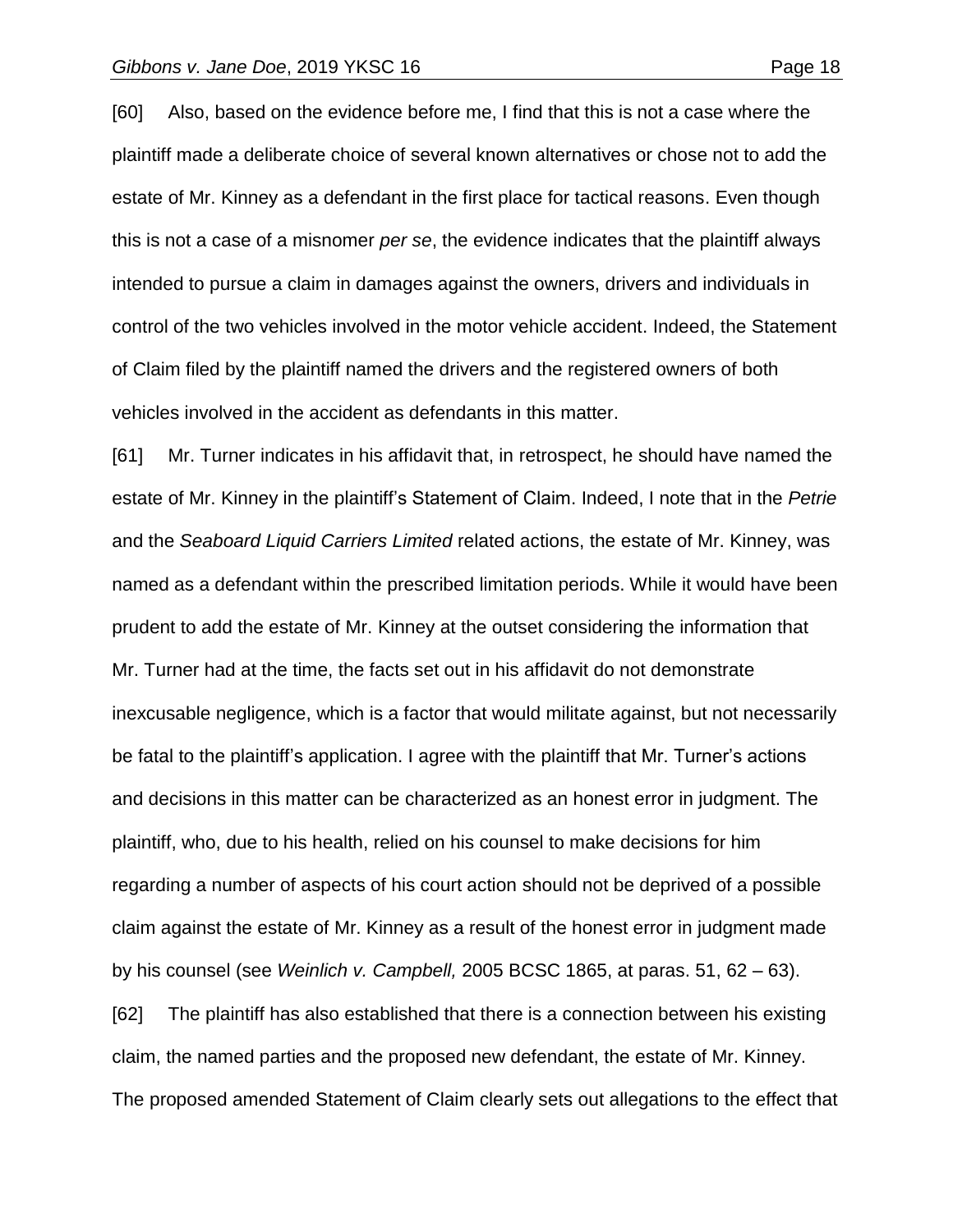[60] Also, based on the evidence before me, I find that this is not a case where the plaintiff made a deliberate choice of several known alternatives or chose not to add the estate of Mr. Kinney as a defendant in the first place for tactical reasons. Even though this is not a case of a misnomer *per se*, the evidence indicates that the plaintiff always intended to pursue a claim in damages against the owners, drivers and individuals in control of the two vehicles involved in the motor vehicle accident. Indeed, the Statement of Claim filed by the plaintiff named the drivers and the registered owners of both vehicles involved in the accident as defendants in this matter.

[61] Mr. Turner indicates in his affidavit that, in retrospect, he should have named the estate of Mr. Kinney in the plaintiff's Statement of Claim. Indeed, I note that in the *Petrie* and the *Seaboard Liquid Carriers Limited* related actions, the estate of Mr. Kinney, was named as a defendant within the prescribed limitation periods. While it would have been prudent to add the estate of Mr. Kinney at the outset considering the information that Mr. Turner had at the time, the facts set out in his affidavit do not demonstrate inexcusable negligence, which is a factor that would militate against, but not necessarily be fatal to the plaintiff's application. I agree with the plaintiff that Mr. Turner's actions and decisions in this matter can be characterized as an honest error in judgment. The plaintiff, who, due to his health, relied on his counsel to make decisions for him regarding a number of aspects of his court action should not be deprived of a possible claim against the estate of Mr. Kinney as a result of the honest error in judgment made by his counsel (see *Weinlich v. Campbell,* 2005 BCSC 1865, at paras. 51, 62 – 63). [62] The plaintiff has also established that there is a connection between his existing claim, the named parties and the proposed new defendant, the estate of Mr. Kinney.

The proposed amended Statement of Claim clearly sets out allegations to the effect that